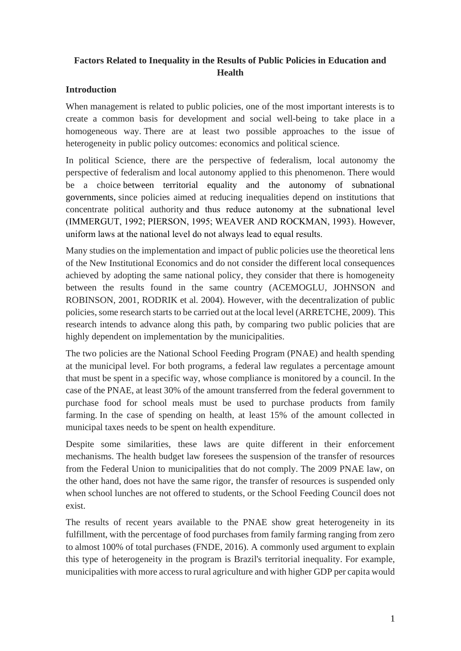# **Factors Related to Inequality in the Results of Public Policies in Education and Health**

### **Introduction**

When management is related to public policies, one of the most important interests is to create a common basis for development and social well-being to take place in a homogeneous way. There are at least two possible approaches to the issue of heterogeneity in public policy outcomes: economics and political science.

In political Science, there are the perspective of federalism, local autonomy the perspective of federalism and local autonomy applied to this phenomenon. There would be a choice between territorial equality and the autonomy of subnational governments, since policies aimed at reducing inequalities depend on institutions that concentrate political authority and thus reduce autonomy at the subnational level (IMMERGUT, 1992; PIERSON, 1995; WEAVER AND ROCKMAN, 1993). However, uniform laws at the national level do not always lead to equal results.

Many studies on the implementation and impact of public policies use the theoretical lens of the New Institutional Economics and do not consider the different local consequences achieved by adopting the same national policy, they consider that there is homogeneity between the results found in the same country (ACEMOGLU, JOHNSON and ROBINSON, 2001, RODRIK et al. 2004). However, with the decentralization of public policies, some research starts to be carried out at the local level (ARRETCHE, 2009). This research intends to advance along this path, by comparing two public policies that are highly dependent on implementation by the municipalities.

The two policies are the National School Feeding Program (PNAE) and health spending at the municipal level. For both programs, a federal law regulates a percentage amount that must be spent in a specific way, whose compliance is monitored by a council. In the case of the PNAE, at least 30% of the amount transferred from the federal government to purchase food for school meals must be used to purchase products from family farming. In the case of spending on health, at least 15% of the amount collected in municipal taxes needs to be spent on health expenditure.

Despite some similarities, these laws are quite different in their enforcement mechanisms. The health budget law foresees the suspension of the transfer of resources from the Federal Union to municipalities that do not comply. The 2009 PNAE law, on the other hand, does not have the same rigor, the transfer of resources is suspended only when school lunches are not offered to students, or the School Feeding Council does not exist.

The results of recent years available to the PNAE show great heterogeneity in its fulfillment, with the percentage of food purchases from family farming ranging from zero to almost 100% of total purchases (FNDE, 2016). A commonly used argument to explain this type of heterogeneity in the program is Brazil's territorial inequality. For example, municipalities with more access to rural agriculture and with higher GDP per capita would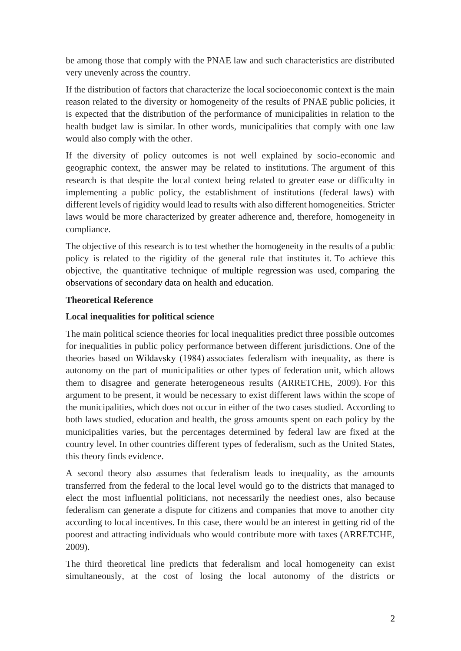be among those that comply with the PNAE law and such characteristics are distributed very unevenly across the country.

If the distribution of factors that characterize the local socioeconomic context is the main reason related to the diversity or homogeneity of the results of PNAE public policies, it is expected that the distribution of the performance of municipalities in relation to the health budget law is similar. In other words, municipalities that comply with one law would also comply with the other.

If the diversity of policy outcomes is not well explained by socio-economic and geographic context, the answer may be related to institutions. The argument of this research is that despite the local context being related to greater ease or difficulty in implementing a public policy, the establishment of institutions (federal laws) with different levels of rigidity would lead to results with also different homogeneities. Stricter laws would be more characterized by greater adherence and, therefore, homogeneity in compliance.

The objective of this research is to test whether the homogeneity in the results of a public policy is related to the rigidity of the general rule that institutes it. To achieve this objective, the quantitative technique of multiple regression was used, comparing the observations of secondary data on health and education.

## **Theoretical Reference**

## **Local inequalities for political science**

The main political science theories for local inequalities predict three possible outcomes for inequalities in public policy performance between different jurisdictions. One of the theories based on Wildavsky (1984) associates federalism with inequality, as there is autonomy on the part of municipalities or other types of federation unit, which allows them to disagree and generate heterogeneous results (ARRETCHE, 2009). For this argument to be present, it would be necessary to exist different laws within the scope of the municipalities, which does not occur in either of the two cases studied. According to both laws studied, education and health, the gross amounts spent on each policy by the municipalities varies, but the percentages determined by federal law are fixed at the country level. In other countries different types of federalism, such as the United States, this theory finds evidence.

A second theory also assumes that federalism leads to inequality, as the amounts transferred from the federal to the local level would go to the districts that managed to elect the most influential politicians, not necessarily the neediest ones, also because federalism can generate a dispute for citizens and companies that move to another city according to local incentives. In this case, there would be an interest in getting rid of the poorest and attracting individuals who would contribute more with taxes (ARRETCHE, 2009).

The third theoretical line predicts that federalism and local homogeneity can exist simultaneously, at the cost of losing the local autonomy of the districts or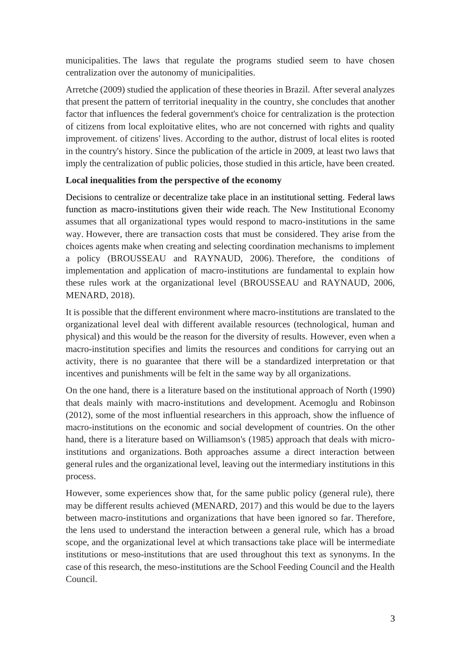municipalities. The laws that regulate the programs studied seem to have chosen centralization over the autonomy of municipalities.

Arretche (2009) studied the application of these theories in Brazil. After several analyzes that present the pattern of territorial inequality in the country, she concludes that another factor that influences the federal government's choice for centralization is the protection of citizens from local exploitative elites, who are not concerned with rights and quality improvement. of citizens' lives. According to the author, distrust of local elites is rooted in the country's history. Since the publication of the article in 2009, at least two laws that imply the centralization of public policies, those studied in this article, have been created.

### **Local inequalities from the perspective of the economy**

Decisions to centralize or decentralize take place in an institutional setting. Federal laws function as macro-institutions given their wide reach. The New Institutional Economy assumes that all organizational types would respond to macro-institutions in the same way. However, there are transaction costs that must be considered. They arise from the choices agents make when creating and selecting coordination mechanisms to implement a policy (BROUSSEAU and RAYNAUD, 2006). Therefore, the conditions of implementation and application of macro-institutions are fundamental to explain how these rules work at the organizational level (BROUSSEAU and RAYNAUD, 2006, MENARD, 2018).

It is possible that the different environment where macro-institutions are translated to the organizational level deal with different available resources (technological, human and physical) and this would be the reason for the diversity of results. However, even when a macro-institution specifies and limits the resources and conditions for carrying out an activity, there is no guarantee that there will be a standardized interpretation or that incentives and punishments will be felt in the same way by all organizations.

On the one hand, there is a literature based on the institutional approach of North (1990) that deals mainly with macro-institutions and development. Acemoglu and Robinson (2012), some of the most influential researchers in this approach, show the influence of macro-institutions on the economic and social development of countries. On the other hand, there is a literature based on Williamson's (1985) approach that deals with microinstitutions and organizations. Both approaches assume a direct interaction between general rules and the organizational level, leaving out the intermediary institutions in this process.

However, some experiences show that, for the same public policy (general rule), there may be different results achieved (MENARD, 2017) and this would be due to the layers between macro-institutions and organizations that have been ignored so far. Therefore, the lens used to understand the interaction between a general rule, which has a broad scope, and the organizational level at which transactions take place will be intermediate institutions or meso-institutions that are used throughout this text as synonyms. In the case of this research, the meso-institutions are the School Feeding Council and the Health Council.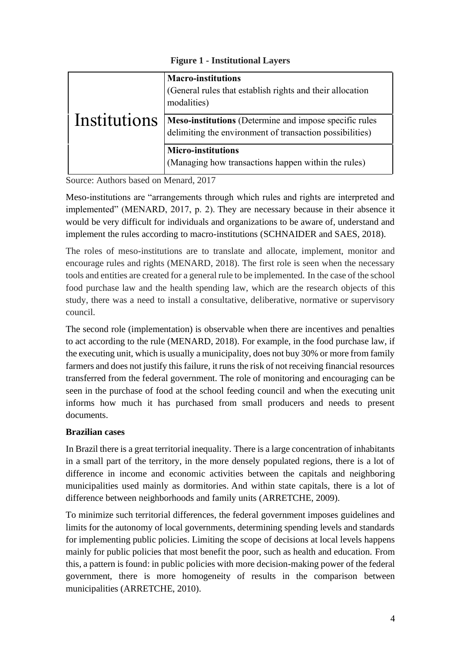**Figure 1 - Institutional Layers**

|              | <b>Macro-institutions</b><br>(General rules that establish rights and their allocation<br>modalities)              |
|--------------|--------------------------------------------------------------------------------------------------------------------|
| Institutions | Meso-institutions (Determine and impose specific rules<br>delimiting the environment of transaction possibilities) |
|              | <b>Micro-institutions</b><br>(Managing how transactions happen within the rules)                                   |

Source: Authors based on Menard, 2017

Meso-institutions are "arrangements through which rules and rights are interpreted and implemented" (MENARD, 2017, p. 2). They are necessary because in their absence it would be very difficult for individuals and organizations to be aware of, understand and implement the rules according to macro-institutions (SCHNAIDER and SAES, 2018).

The roles of meso-institutions are to translate and allocate, implement, monitor and encourage rules and rights (MENARD, 2018). The first role is seen when the necessary tools and entities are created for a general rule to be implemented. In the case of the school food purchase law and the health spending law, which are the research objects of this study, there was a need to install a consultative, deliberative, normative or supervisory council.

The second role (implementation) is observable when there are incentives and penalties to act according to the rule (MENARD, 2018). For example, in the food purchase law, if the executing unit, which is usually a municipality, does not buy 30% or more from family farmers and does not justify this failure, it runs the risk of not receiving financial resources transferred from the federal government. The role of monitoring and encouraging can be seen in the purchase of food at the school feeding council and when the executing unit informs how much it has purchased from small producers and needs to present documents.

# **Brazilian cases**

In Brazil there is a great territorial inequality. There is a large concentration of inhabitants in a small part of the territory, in the more densely populated regions, there is a lot of difference in income and economic activities between the capitals and neighboring municipalities used mainly as dormitories. And within state capitals, there is a lot of difference between neighborhoods and family units (ARRETCHE, 2009).

To minimize such territorial differences, the federal government imposes guidelines and limits for the autonomy of local governments, determining spending levels and standards for implementing public policies. Limiting the scope of decisions at local levels happens mainly for public policies that most benefit the poor, such as health and education. From this, a pattern is found: in public policies with more decision-making power of the federal government, there is more homogeneity of results in the comparison between municipalities (ARRETCHE, 2010).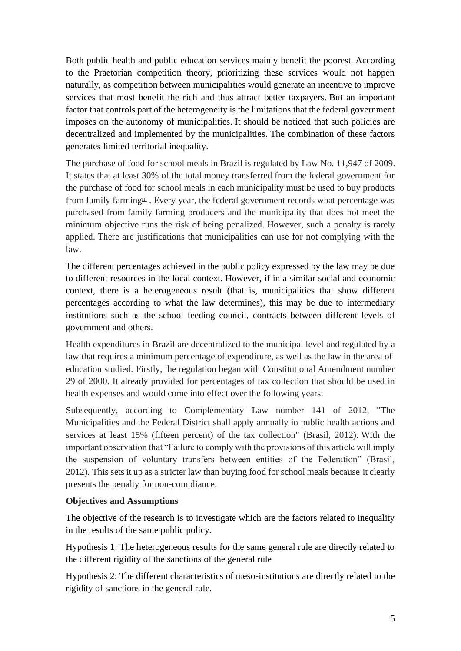Both public health and public education services mainly benefit the poorest. According to the Praetorian competition theory, prioritizing these services would not happen naturally, as competition between municipalities would generate an incentive to improve services that most benefit the rich and thus attract better taxpayers. But an important factor that controls part of the heterogeneity is the limitations that the federal government imposes on the autonomy of municipalities. It should be noticed that such policies are decentralized and implemented by the municipalities. The combination of these factors generates limited territorial inequality.

The purchase of food for school meals in Brazil is regulated by Law No. 11,947 of 2009. It states that at least 30% of the total money transferred from the federal government for the purchase of food for school meals in each municipality must be used to buy products from family farming<sup>11</sup>. Every year, the federal government records what percentage was purchased from family farming producers and the municipality that does not meet the minimum objective runs the risk of being penalized. However, such a penalty is rarely applied. There are justifications that municipalities can use for not complying with the law.

The different percentages achieved in the public policy expressed by the law may be due to different resources in the local context. However, if in a similar social and economic context, there is a heterogeneous result (that is, municipalities that show different percentages according to what the law determines), this may be due to intermediary institutions such as the school feeding council, contracts between different levels of government and others.

Health expenditures in Brazil are decentralized to the municipal level and regulated by a law that requires a minimum percentage of expenditure, as well as the law in the area of education studied. Firstly, the regulation began with Constitutional Amendment number 29 of 2000. It already provided for percentages of tax collection that should be used in health expenses and would come into effect over the following years.

Subsequently, according to Complementary Law number 141 of 2012, "The Municipalities and the Federal District shall apply annually in public health actions and services at least 15% (fifteen percent) of the tax collection" (Brasil, 2012). With the important observation that "Failure to comply with the provisions of this article will imply the suspension of voluntary transfers between entities of the Federation" (Brasil, 2012). This sets it up as a stricter law than buying food for school meals because it clearly presents the penalty for non-compliance.

### **Objectives and Assumptions**

The objective of the research is to investigate which are the factors related to inequality in the results of the same public policy.

Hypothesis 1: The heterogeneous results for the same general rule are directly related to the different rigidity of the sanctions of the general rule

Hypothesis 2: The different characteristics of meso-institutions are directly related to the rigidity of sanctions in the general rule.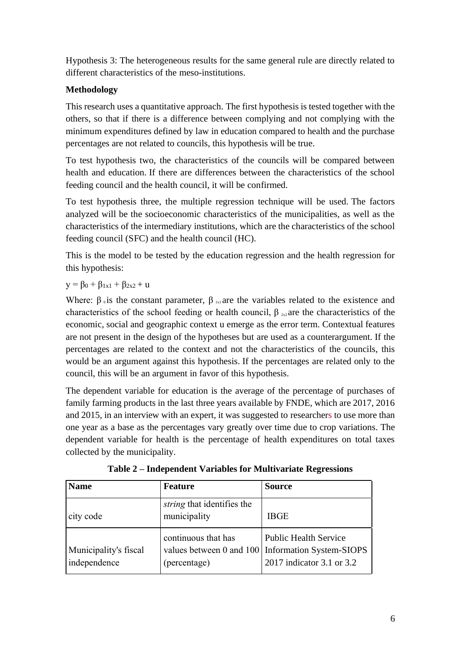Hypothesis 3: The heterogeneous results for the same general rule are directly related to different characteristics of the meso-institutions.

# **Methodology**

This research uses a quantitative approach. The first hypothesis is tested together with the others, so that if there is a difference between complying and not complying with the minimum expenditures defined by law in education compared to health and the purchase percentages are not related to councils, this hypothesis will be true.

To test hypothesis two, the characteristics of the councils will be compared between health and education. If there are differences between the characteristics of the school feeding council and the health council, it will be confirmed.

To test hypothesis three, the multiple regression technique will be used. The factors analyzed will be the socioeconomic characteristics of the municipalities, as well as the characteristics of the intermediary institutions, which are the characteristics of the school feeding council (SFC) and the health council (HC).

This is the model to be tested by the education regression and the health regression for this hypothesis:

# $y = \beta_0 + \beta_{1x1} + \beta_{2x2} + u$

Where:  $\beta_0$  is the constant parameter,  $\beta_{1x1}$  are the variables related to the existence and characteristics of the school feeding or health council,  $\beta_{2x2}$  are the characteristics of the economic, social and geographic context u emerge as the error term. Contextual features are not present in the design of the hypotheses but are used as a counterargument. If the percentages are related to the context and not the characteristics of the councils, this would be an argument against this hypothesis. If the percentages are related only to the council, this will be an argument in favor of this hypothesis.

The dependent variable for education is the average of the percentage of purchases of family farming products in the last three years available by FNDE, which are 2017, 2016 and 2015, in an interview with an expert, it was suggested to researchers to use more than one year as a base as the percentages vary greatly over time due to crop variations. The dependent variable for health is the percentage of health expenditures on total taxes collected by the municipality.

| <b>Name</b>                           | <b>Feature</b>                                                  | <b>Source</b>                                                                                |
|---------------------------------------|-----------------------------------------------------------------|----------------------------------------------------------------------------------------------|
| city code                             | string that identifies the<br>municipality                      | <b>IBGE</b>                                                                                  |
| Municipality's fiscal<br>independence | continuous that has<br>values between 0 and 100<br>(percentage) | <b>Public Health Service</b><br><b>Information System-SIOPS</b><br>2017 indicator 3.1 or 3.2 |

**Table 2 – Independent Variables for Multivariate Regressions**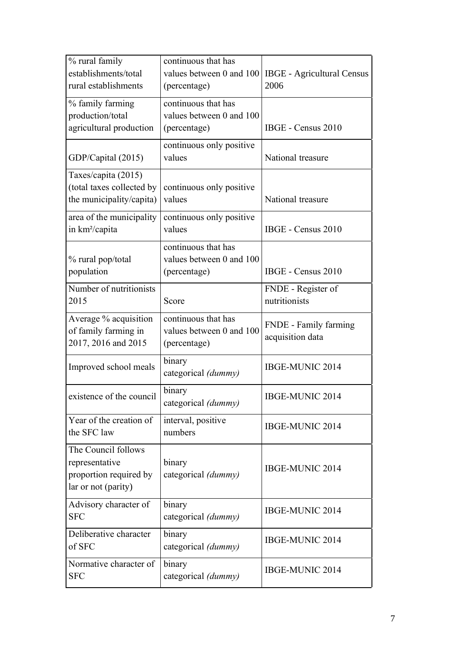| % rural family<br>establishments/total<br>rural establishments                         | continuous that has<br>values between 0 and 100<br>(percentage) | <b>IBGE</b> - Agricultural Census<br>2006 |
|----------------------------------------------------------------------------------------|-----------------------------------------------------------------|-------------------------------------------|
| % family farming<br>production/total<br>agricultural production                        | continuous that has<br>values between 0 and 100<br>(percentage) | IBGE - Census 2010                        |
| GDP/Capital (2015)                                                                     | continuous only positive<br>values                              | National treasure                         |
| Taxes/capita (2015)<br>(total taxes collected by<br>the municipality/capita)           | continuous only positive<br>values                              | National treasure                         |
| area of the municipality<br>in km <sup>2</sup> /capita                                 | continuous only positive<br>values                              | IBGE - Census 2010                        |
| % rural pop/total<br>population                                                        | continuous that has<br>values between 0 and 100<br>(percentage) | IBGE - Census 2010                        |
| Number of nutritionists<br>2015                                                        | Score                                                           | FNDE - Register of<br>nutritionists       |
| Average % acquisition<br>of family farming in<br>2017, 2016 and 2015                   | continuous that has<br>values between 0 and 100<br>(percentage) | FNDE - Family farming<br>acquisition data |
| Improved school meals                                                                  | binary<br>categorical (dummy)                                   | IBGE-MUNIC 2014                           |
| existence of the council                                                               | binary<br>categorical (dummy)                                   | IBGE-MUNIC 2014                           |
| Year of the creation of<br>the SFC law                                                 | interval, positive<br>numbers                                   | IBGE-MUNIC 2014                           |
| The Council follows<br>representative<br>proportion required by<br>lar or not (parity) | binary<br>categorical (dummy)                                   | IBGE-MUNIC 2014                           |
| Advisory character of<br><b>SFC</b>                                                    | binary<br>categorical (dummy)                                   | IBGE-MUNIC 2014                           |
| Deliberative character<br>of SFC                                                       | binary<br>categorical (dummy)                                   | IBGE-MUNIC 2014                           |
| Normative character of<br><b>SFC</b>                                                   | binary<br>categorical (dummy)                                   | IBGE-MUNIC 2014                           |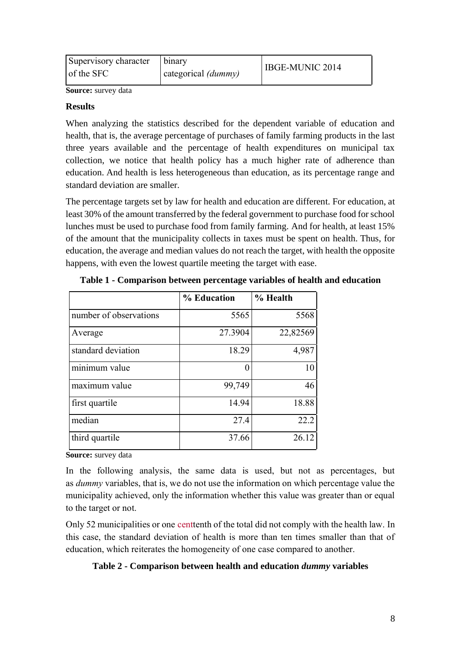| Supervisory character   binary<br>of the SFC | categorical (dummy) | IBGE-MUNIC 2014 |
|----------------------------------------------|---------------------|-----------------|
|                                              |                     |                 |

**Source:** survey data

#### **Results**

When analyzing the statistics described for the dependent variable of education and health, that is, the average percentage of purchases of family farming products in the last three years available and the percentage of health expenditures on municipal tax collection, we notice that health policy has a much higher rate of adherence than education. And health is less heterogeneous than education, as its percentage range and standard deviation are smaller.

The percentage targets set by law for health and education are different. For education, at least 30% of the amount transferred by the federal government to purchase food for school lunches must be used to purchase food from family farming. And for health, at least 15% of the amount that the municipality collects in taxes must be spent on health. Thus, for education, the average and median values do not reach the target, with health the opposite happens, with even the lowest quartile meeting the target with ease.

|                                   | % Education | % Health |
|-----------------------------------|-------------|----------|
| number of observations            | 5565        | 5568     |
| Average                           | 27.3904     | 22,82569 |
| standard deviation                | 18.29       | 4,987    |
| $\overline{\text{minimum}}$ value | 0           | 10       |
| maximum value                     | 99,749      | 46       |
| first quartile                    | 14.94       | 18.88    |
| median                            | 27.4        | 22.2     |
| third quartile                    | 37.66       | 26.12    |

**Table 1 - Comparison between percentage variables of health and education**

**Source:** survey data

In the following analysis, the same data is used, but not as percentages, but as *dummy* variables, that is, we do not use the information on which percentage value the municipality achieved, only the information whether this value was greater than or equal to the target or not.

Only 52 municipalities or one centtenth of the total did not comply with the health law. In this case, the standard deviation of health is more than ten times smaller than that of education, which reiterates the homogeneity of one case compared to another.

### **Table 2 - Comparison between health and education** *dummy* **variables**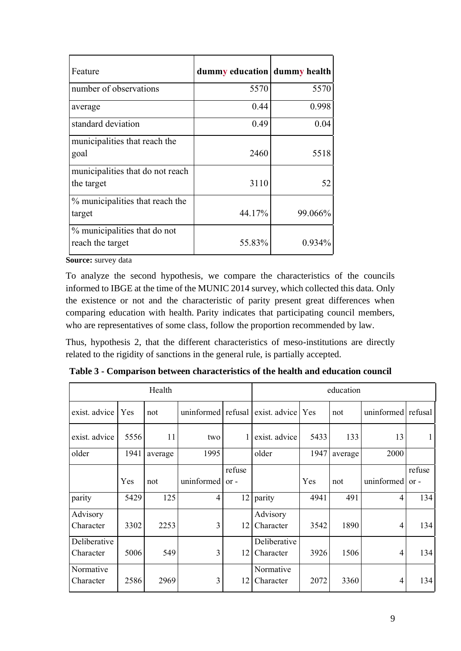| Feature                                          | dummy education dummy health |           |
|--------------------------------------------------|------------------------------|-----------|
| number of observations                           | 5570                         | 5570      |
| average                                          | 0.44                         | 0.998     |
| standard deviation                               | 0.49                         | 0.04      |
| municipalities that reach the<br>goal            | 2460                         | 5518      |
| municipalities that do not reach<br>the target   | 3110                         | 52        |
| % municipalities that reach the<br>target        | 44.17%                       | 99.066%   |
| % municipalities that do not<br>reach the target | 55.83%                       | $0.934\%$ |

**Source:** survey data

To analyze the second hypothesis, we compare the characteristics of the councils informed to IBGE at the time of the MUNIC 2014 survey, which collected this data. Only the existence or not and the characteristic of parity present great differences when comparing education with health. Parity indicates that participating council members, who are representatives of some class, follow the proportion recommended by law.

Thus, hypothesis 2, that the different characteristics of meso-institutions are directly related to the rigidity of sanctions in the general rule, is partially accepted.

|                           | Health |         | education          |                  |                           |      |         |                    |                  |
|---------------------------|--------|---------|--------------------|------------------|---------------------------|------|---------|--------------------|------------------|
| exist. advice             | Yes    | not     | uninformed refusal |                  | exist. advice Yes         |      | not     | uninformed refusal |                  |
| exist. advice             | 5556   | 11      | two                | 1                | exist. advice             | 5433 | 133     | 13                 |                  |
| older                     | 1941   | average | 1995               |                  | older                     | 1947 | average | 2000               |                  |
|                           | Yes    | not     | uninformed         | refuse<br>$or -$ |                           | Yes  | not     | uninformed         | refuse<br>$or -$ |
| parity                    | 5429   | 125     | $\overline{4}$     | 12               | parity                    | 4941 | 491     | $\overline{4}$     | 134              |
| Advisory<br>Character     | 3302   | 2253    | 3                  | 12               | Advisory<br>Character     | 3542 | 1890    | 4                  | 134              |
| Deliberative<br>Character | 5006   | 549     | 3                  | 12               | Deliberative<br>Character | 3926 | 1506    | 4                  | 134              |
| Normative<br>Character    | 2586   | 2969    | 3                  | 12               | Normative<br>Character    | 2072 | 3360    | 4                  | 134              |

**Table 3 - Comparison between characteristics of the health and education council**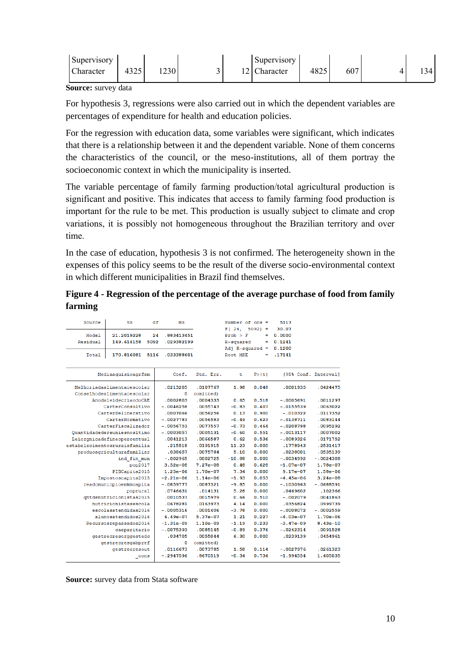| Supervisory |      |      |                         | Supervisory |      |     |     |
|-------------|------|------|-------------------------|-------------|------|-----|-----|
| Character   | 4325 | 1230 | $\sim$<br>$\sim$ $\sim$ | `haracter   | 4825 | 607 | 121 |

**Source:** survey data

For hypothesis 3, regressions were also carried out in which the dependent variables are percentages of expenditure for health and education policies.

For the regression with education data, some variables were significant, which indicates that there is a relationship between it and the dependent variable. None of them concerns the characteristics of the council, or the meso-institutions, all of them portray the socioeconomic context in which the municipality is inserted.

The variable percentage of family farming production/total agricultural production is significant and positive. This indicates that access to family farming food production is important for the rule to be met. This production is usually subject to climate and crop variations, it is possibly not homogeneous throughout the Brazilian territory and over time.

In the case of education, hypothesis 3 is not confirmed. The heterogeneity shown in the expenses of this policy seems to be the result of the diverse socio-environmental context in which different municipalities in Brazil find themselves.

**Figure 4 - Regression of the percentage of the average purchase of food from family farming**

| Source                        | SS                   | df   | MS          |            | Number of $obs =$<br>$F(24, 5092) =$ |          | 5117<br>30.07        |              |
|-------------------------------|----------------------|------|-------------|------------|--------------------------------------|----------|----------------------|--------------|
| Model                         | 21.2019228           | 24   | .883413451  |            | Prob > F                             | $\equiv$ | 0.0000               |              |
| Residual                      | 149.614158           | 5092 | .029382199  |            | R-squared                            | ٠        | 0.1241               |              |
|                               |                      |      |             |            | Adj $R$ -squared =                   |          | 0.1200               |              |
| Total                         | 170.816081           | 5116 | .033388601  |            | Root MSE                             | ≕        | .17141               |              |
|                               | Mediaaquisioagrfam   |      | Coef.       | Std. Err.  | t                                    | P >  t   | [95% Conf. Interval] |              |
| Melhoriadaalimentaoescolar    |                      |      | .0213205    | .0107767   | 1.98                                 | 0.048    | .0001935             | .0424475     |
| Conselhodealimentaoescolar    |                      |      | 0           | (omitted)  |                                      |          |                      |              |
|                               | AnodaleidecriaodoCAE |      | .0002803    | .0004333   | 0.65                                 | 0.518    | $-.0005691$          | .0011297     |
|                               | CarterConsultivo     |      | $-.0046258$ | .0055743   | $-0.83$                              | 0.407    | $-.0155539$          | .0063022     |
|                               | CarterDeliberativo   |      | .0007066    | .0056256   | 0.13                                 | 0.900    | $-.010322$           | .0117352     |
|                               | CarterNormativo      |      | $-.0027783$ | .0056583   | $-0.49$                              | 0.623    | $-.0138711$          | .0083144     |
|                               | CarterFiscalizador   |      | $-.0056753$ | .0077557   | $-0.73$                              | 0.464    | $-.0208798$          | .0095292     |
| Ouantidadedereuniesnosltimo   |                      |      | $-.0003057$ | .0005131   | $-0.60$                              | 0.551    | $-.0013117$          | .0007002     |
| Leiorgnicadefineopercentual   |                      |      | .0041213    | .0066587   | 0.62                                 | 0.536    | $-.0089326$          | .0171752     |
| estabelecimentosruraisfamilia |                      |      | .215518     | .0191915   | 11.23                                | 0.000    | .1778943             | .2531417     |
| produoagriculturafamiliar     |                      |      | .038657     | .0075784   | 5.10                                 | 0.000    | .0238001             | .0535139     |
|                               | ind fin mun          |      | $-.002965$  | .0002725   | $-10.88$                             | 0.000    | $-.0034992$          | $-0024308$   |
|                               | pop2017              |      | $3.52e-08$  | $7.27e-08$ | 0.48                                 | 0.628    | $-1.07e-07$          | 1.78e-07     |
|                               | PIBCapita2015        |      | $1.25e-06$  | $1.70e-07$ | 7.34                                 | 0.000    | $9.17e-07$           | 1.58e-06     |
|                               | Impostoscapita2015   |      | $-2.21e-06$ | $1.14e-06$ | $-1.93$                              | 0.053    | $-4.45e-06$          | $3.24e - 08$ |
| readomunicpioemkmcapita       |                      |      | $-.0859777$ | .0087321   | $-9.85$                              | 0.000    | $-.1030963$          | $-.0688591$  |
|                               | poprural             |      | .0746631    | .014131    | 5.28                                 | 0.000    | .0469602             | .102366      |
| gntdenutricionistas2015       |                      |      | .0010537    | .0015979   | 0.66                                 | 0.510    | $-.002079$           | .0041863     |
|                               | nutricionistasescola |      | .0678281    | .0163973   | 4.14                                 | 0.000    | .0356824             | .0999739     |
|                               | escolasatendidas2016 |      | $-.0005316$ | .0001406   | $-3.78$                              | 0.000    | $-.0008072$          | $-.0002559$  |
|                               | alunosatendidos2016  |      | $6.49e-07$  | $5.37e-07$ | 1.21                                 | 0.227    | $-4.03e-07$          | $1.70e - 06$ |
| Recursosrepassados2016        |                      |      | $-1.31e-09$ | $1.10e-09$ | $-1.19$                              | 0.233    | $-3.47e-09$          | $8.43e-10$   |
|                               | caeparitario         |      | $-.0075393$ | .0085145   | $-0.89$                              | 0.376    | $-.0242314$          | .0091528     |
|                               | gestrecresorggestedc |      | .034705     | .0055044   | 6.30                                 | 0.000    | .0239139             | .0454961     |
|                               | gestrecresgabpref    |      | 0           | (omitted)  |                                      |          |                      |              |
|                               | gestrecresout        |      | .0116673    | .0073785   | 1.58                                 | 0.114    | $-.0027976$          | .0261323     |
|                               | $_{\rm -cons}$       |      | $-.2947596$ | .8670519   | $-0.34$                              | 0.734    | $-1.994554$          | 1.405035     |

**Source:** survey data from Stata software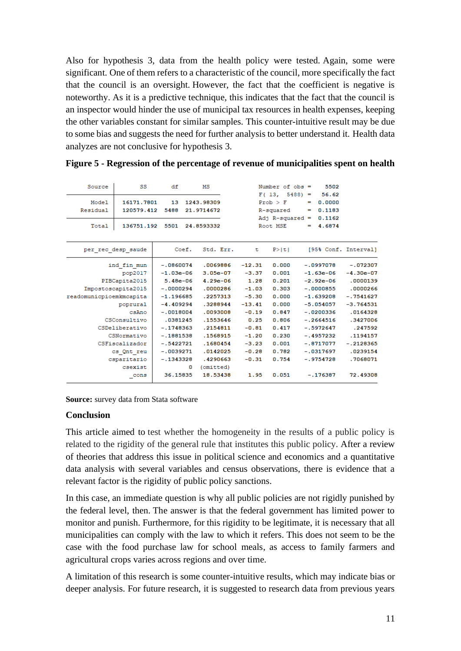Also for hypothesis 3, data from the health policy were tested. Again, some were significant. One of them refers to a characteristic of the council, more specifically the fact that the council is an oversight. However, the fact that the coefficient is negative is noteworthy. As it is a predictive technique, this indicates that the fact that the council is an inspector would hinder the use of municipal tax resources in health expenses, keeping the other variables constant for similar samples. This counter-intuitive result may be due to some bias and suggests the need for further analysis to better understand it. Health data analyzes are not conclusive for hypothesis 3.

| Source                  | SS                       | df          | МS                       |          | Number of $obs =$                                                  |               | 5502                                |                      |
|-------------------------|--------------------------|-------------|--------------------------|----------|--------------------------------------------------------------------|---------------|-------------------------------------|----------------------|
| Model<br>Residual       | 16171.7801<br>120579.412 | 13<br>5488  | 1243.98309<br>21.9714672 |          | $F(13, 5488) =$<br>$Prob$ > $F$<br>R-squared<br>Adj $R$ -squared = | -<br><b>=</b> | 56.62<br>0.0000<br>0.1183<br>0.1162 |                      |
| Total                   | 136751.192               | 5501        | 24.8593332               |          | Root MSE                                                           |               | $= 4.6874$                          |                      |
| per rec desp saude      |                          | Coef.       | Std. Err.                | τ        | P >  t                                                             |               |                                     | [95% Conf. Interval] |
|                         | ind fin mun              | $-.0860074$ | .0069886                 | $-12.31$ | 0.000                                                              |               | $-.0997078$                         | $-.072307$           |
|                         | pop2017                  | $-1.03e-06$ | $3.05e-07$               | $-3.37$  | 0.001                                                              |               | $-1.63e-06$                         | $-4.30e-07$          |
|                         | PIBCapita2015            | $5.48e-06$  | $4.29e - 06$             | 1.28     | 0.201                                                              |               | $-2.92e-06$                         | .0000139             |
| Impostoscapita2015      |                          | $-.0000294$ | .0000286                 | $-1.03$  | 0.303                                                              |               | $-.0000855$                         | .0000266             |
| readomunicpioemkmcapita |                          | $-1.196685$ | .2257313                 | $-5.30$  | 0.000                                                              |               | $-1.639208$                         | $-.7541627$          |
|                         | poprural                 | $-4.409294$ | .3288944                 | $-13.41$ | 0.000                                                              |               | $-5.054057$                         | $-3.764531$          |
|                         | csAno                    | $-.0018004$ | .0093008                 | $-0.19$  | 0.847                                                              |               | $-.0200336$                         | .0164328             |
|                         | CSConsultivo             | .0381245    | .1553646                 | 0.25     | 0.806                                                              |               | $-.2664516$                         | .3427006             |
|                         | CSDeliberativo           | $-.1748363$ | .2154811                 | $-0.81$  | 0.417                                                              |               | $-.5972647$                         | .247592              |
|                         | CSNormativo              | $-.1881538$ | .1568915                 | $-1.20$  | 0.230                                                              |               | $-.4957232$                         | .1194157             |
|                         | CSFiscalizador           | $-.5422721$ | .1680454                 | $-3.23$  | 0.001                                                              |               | $-.8717077$                         | $-.2128365$          |
|                         | cs Ont reu               | $-.0039271$ | .0142025                 | $-0.28$  | 0.782                                                              |               | $-.0317697$                         | .0239154             |
|                         | csparitario              | $-.1343328$ | .4290663                 | $-0.31$  | 0.754                                                              |               | $-.9754728$                         | .7068071             |
|                         | csexist                  |             | (omitted)<br>0           |          |                                                                    |               |                                     |                      |
|                         | $_{\rm cons}$            | 36.15835    | 18.53438                 | 1.95     | 0.051                                                              |               | $-.176387$                          | 72.49308             |
|                         |                          |             |                          |          |                                                                    |               |                                     |                      |

**Figure 5 - Regression of the percentage of revenue of municipalities spent on health**

**Source:** survey data from Stata software

#### **Conclusion**

This article aimed to test whether the homogeneity in the results of a public policy is related to the rigidity of the general rule that institutes this public policy. After a review of theories that address this issue in political science and economics and a quantitative data analysis with several variables and census observations, there is evidence that a relevant factor is the rigidity of public policy sanctions.

In this case, an immediate question is why all public policies are not rigidly punished by the federal level, then. The answer is that the federal government has limited power to monitor and punish. Furthermore, for this rigidity to be legitimate, it is necessary that all municipalities can comply with the law to which it refers. This does not seem to be the case with the food purchase law for school meals, as access to family farmers and agricultural crops varies across regions and over time.

A limitation of this research is some counter-intuitive results, which may indicate bias or deeper analysis. For future research, it is suggested to research data from previous years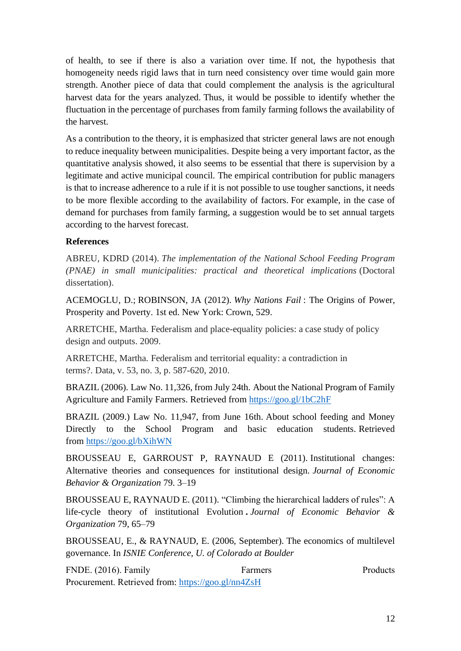of health, to see if there is also a variation over time. If not, the hypothesis that homogeneity needs rigid laws that in turn need consistency over time would gain more strength. Another piece of data that could complement the analysis is the agricultural harvest data for the years analyzed. Thus, it would be possible to identify whether the fluctuation in the percentage of purchases from family farming follows the availability of the harvest.

As a contribution to the theory, it is emphasized that stricter general laws are not enough to reduce inequality between municipalities. Despite being a very important factor, as the quantitative analysis showed, it also seems to be essential that there is supervision by a legitimate and active municipal council. The empirical contribution for public managers is that to increase adherence to a rule if it is not possible to use tougher sanctions, it needs to be more flexible according to the availability of factors. For example, in the case of demand for purchases from family farming, a suggestion would be to set annual targets according to the harvest forecast.

### **References**

ABREU, KDRD (2014). *The implementation of the National School Feeding Program (PNAE) in small municipalities: practical and theoretical implications* (Doctoral dissertation).

ACEMOGLU, D.; ROBINSON, JA (2012). *Why Nations Fail* : The Origins of Power, Prosperity and Poverty. 1st ed. New York: Crown, 529.

ARRETCHE, Martha. Federalism and place-equality policies: a case study of policy design and outputs. 2009.

ARRETCHE, Martha. Federalism and territorial equality: a contradiction in terms?. Data, v. 53, no. 3, p. 587-620, 2010.

BRAZIL (2006). Law No. 11,326, from July 24th. About the National Program of Family Agriculture and Family Farmers. Retrieved from [https://goo.gl/1bC2hF](https://translate.google.com/translate?hl=pt-BR&prev=_t&sl=pt&tl=en&u=https://goo.gl/1bC2hF)

BRAZIL (2009.) Law No. 11,947, from June 16th. About school feeding and Money Directly to the School Program and basic education students. Retrieved from [https://goo.gl/bXihWN](https://translate.google.com/translate?hl=pt-BR&prev=_t&sl=pt&tl=en&u=https://goo.gl/bXihWN)

BROUSSEAU E, GARROUST P, RAYNAUD E (2011). Institutional changes: Alternative theories and consequences for institutional design. *Journal of Economic Behavior & Organization* 79. 3–19

BROUSSEAU E, RAYNAUD E. (2011). "Climbing the hierarchical ladders of rules": A life-cycle theory of institutional Evolution **.** *Journal of Economic Behavior & Organization* 79, 65–79

BROUSSEAU, E., & RAYNAUD, E. (2006, September). The economics of multilevel governance. In *ISNIE Conference, U. of Colorado at Boulder*

FNDE. (2016). Family Farmers Farmers Products Procurement. Retrieved from: [https://goo.gl/nn4ZsH](https://translate.google.com/translate?hl=pt-BR&prev=_t&sl=pt&tl=en&u=https://goo.gl/nn4ZsH)